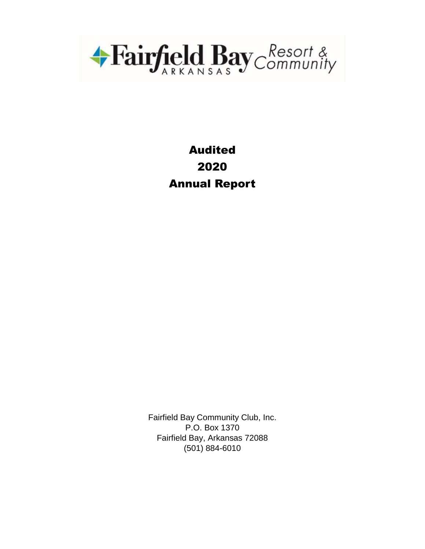

# Audited 2020 Annual Report

Fairfield Bay Community Club, Inc. P.O. Box 1370 Fairfield Bay, Arkansas 72088 (501) 884-6010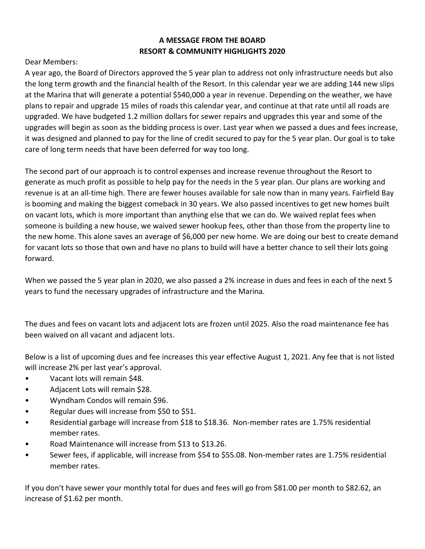### **A MESSAGE FROM THE BOARD RESORT & COMMUNITY HIGHLIGHTS 2020**

Dear Members:

A year ago, the Board of Directors approved the 5 year plan to address not only infrastructure needs but also the long term growth and the financial health of the Resort. In this calendar year we are adding 144 new slips at the Marina that will generate a potential \$540,000 a year in revenue. Depending on the weather, we have plans to repair and upgrade 15 miles of roads this calendar year, and continue at that rate until all roads are upgraded. We have budgeted 1.2 million dollars for sewer repairs and upgrades this year and some of the upgrades will begin as soon as the bidding process is over. Last year when we passed a dues and fees increase, it was designed and planned to pay for the line of credit secured to pay for the 5 year plan. Our goal is to take care of long term needs that have been deferred for way too long.

The second part of our approach is to control expenses and increase revenue throughout the Resort to generate as much profit as possible to help pay for the needs in the 5 year plan. Our plans are working and revenue is at an all-time high. There are fewer houses available for sale now than in many years. Fairfield Bay is booming and making the biggest comeback in 30 years. We also passed incentives to get new homes built on vacant lots, which is more important than anything else that we can do. We waived replat fees when someone is building a new house, we waived sewer hookup fees, other than those from the property line to the new home. This alone saves an average of \$6,000 per new home. We are doing our best to create demand for vacant lots so those that own and have no plans to build will have a better chance to sell their lots going forward.

When we passed the 5 year plan in 2020, we also passed a 2% increase in dues and fees in each of the next 5 years to fund the necessary upgrades of infrastructure and the Marina.

The dues and fees on vacant lots and adjacent lots are frozen until 2025. Also the road maintenance fee has been waived on all vacant and adjacent lots.

Below is a list of upcoming dues and fee increases this year effective August 1, 2021. Any fee that is not listed will increase 2% per last year's approval.

- Vacant lots will remain \$48.
- Adjacent Lots will remain \$28.
- Wyndham Condos will remain \$96.
- Regular dues will increase from \$50 to \$51.
- Residential garbage will increase from \$18 to \$18.36. Non-member rates are 1.75% residential member rates.
- Road Maintenance will increase from \$13 to \$13.26.
- Sewer fees, if applicable, will increase from \$54 to \$55.08. Non-member rates are 1.75% residential member rates.

If you don't have sewer your monthly total for dues and fees will go from \$81.00 per month to \$82.62, an increase of \$1.62 per month.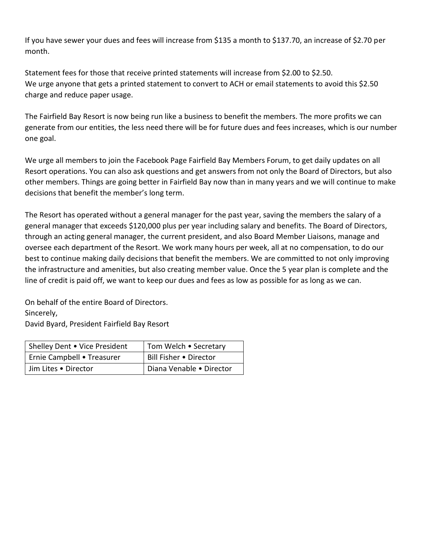If you have sewer your dues and fees will increase from \$135 a month to \$137.70, an increase of \$2.70 per month.

Statement fees for those that receive printed statements will increase from \$2.00 to \$2.50. We urge anyone that gets a printed statement to convert to ACH or email statements to avoid this \$2.50 charge and reduce paper usage.

The Fairfield Bay Resort is now being run like a business to benefit the members. The more profits we can generate from our entities, the less need there will be for future dues and fees increases, which is our number one goal.

We urge all members to join the Facebook Page Fairfield Bay Members Forum, to get daily updates on all Resort operations. You can also ask questions and get answers from not only the Board of Directors, but also other members. Things are going better in Fairfield Bay now than in many years and we will continue to make decisions that benefit the member's long term.

The Resort has operated without a general manager for the past year, saving the members the salary of a general manager that exceeds \$120,000 plus per year including salary and benefits. The Board of Directors, through an acting general manager, the current president, and also Board Member Liaisons, manage and oversee each department of the Resort. We work many hours per week, all at no compensation, to do our best to continue making daily decisions that benefit the members. We are committed to not only improving the infrastructure and amenities, but also creating member value. Once the 5 year plan is complete and the line of credit is paid off, we want to keep our dues and fees as low as possible for as long as we can.

On behalf of the entire Board of Directors. Sincerely, David Byard, President Fairfield Bay Resort

| Shelley Dent . Vice President | Tom Welch • Secretary    |
|-------------------------------|--------------------------|
| Ernie Campbell • Treasurer    | Bill Fisher . Director   |
| Jim Lites . Director          | Diana Venable . Director |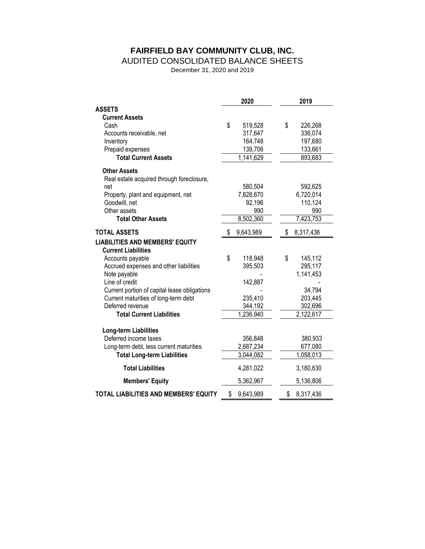# **FAIRFIELD BAY COMMUNITY CLUB, INC.**

#### AUDITED CONSOLIDATED BALANCE SHEETS

December 31, 2020 and 2019

|                                              |    | 2020      | 2019            |
|----------------------------------------------|----|-----------|-----------------|
| <b>ASSETS</b>                                |    |           |                 |
| <b>Current Assets</b>                        |    |           |                 |
| Cash                                         | \$ | 519,528   | \$<br>226,268   |
| Accounts receivable, net                     |    | 317,647   | 336,074         |
| Inventory                                    |    | 164,748   | 197,680         |
| Prepaid expenses                             |    | 139,706   | 133,661         |
| <b>Total Current Assets</b>                  |    | 1,141,629 | 893,683         |
| <b>Other Assets</b>                          |    |           |                 |
| Real estate acquired through foreclosure,    |    |           |                 |
| net                                          |    | 580,504   | 592,625         |
| Property, plant and equipment, net           |    | 7,828,670 | 6,720,014       |
| Goodwill, net                                |    | 92,196    | 110,124         |
| Other assets                                 |    | 990       | 990             |
| <b>Total Other Assets</b>                    |    | 8,502,360 | 7,423,753       |
| <b>TOTAL ASSETS</b>                          | S. | 9,643,989 | \$<br>8,317,436 |
| <b>LIABILITIES AND MEMBERS' EQUITY</b>       |    |           |                 |
| <b>Current Liabilities</b>                   |    |           |                 |
| Accounts payable                             | \$ | 118,948   | \$<br>145,112   |
| Accrued expenses and other liabilities       |    | 395,503   | 295,117         |
| Note payable                                 |    |           | 1,141,453       |
| Line of credit                               |    | 142,887   |                 |
| Current portion of capital lease obligations |    |           | 34,794          |
| Current maturities of long-term debt         |    | 235,410   | 203,445         |
| Deferred revenue                             |    | 344,192   | 302,696         |
| <b>Total Current Liabilities</b>             |    | 1,236,940 | 2,122,617       |
|                                              |    |           |                 |
| Long-term Liabilities                        |    |           |                 |
| Deferred income taxes                        |    | 356,848   | 380,933         |
| Long-term debt, less current maturities      |    | 2,687,234 | 677,080         |
| <b>Total Long-term Liabilities</b>           |    | 3,044,082 | 1,058,013       |
| <b>Total Liabilities</b>                     |    | 4,281,022 | 3,180,630       |
| <b>Members' Equity</b>                       |    | 5,362,967 | 5,136,806       |
| TOTAL LIABILITIES AND MEMBERS' EQUITY        | \$ | 9,643,989 | \$<br>8,317,436 |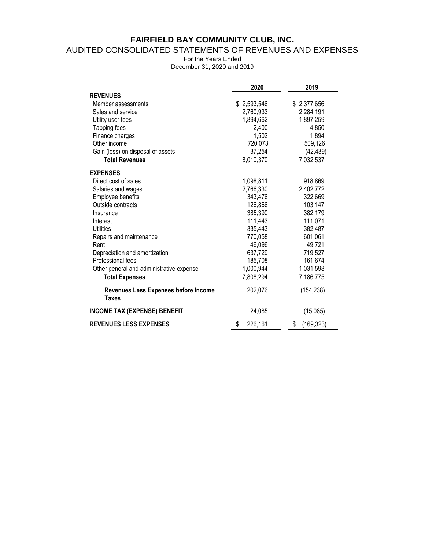# **FAIRFIELD BAY COMMUNITY CLUB, INC.**

### AUDITED CONSOLIDATED STATEMENTS OF REVENUES AND EXPENSES

For the Years Ended December 31, 2020 and 2019

|                                               | 2020          | 2019             |
|-----------------------------------------------|---------------|------------------|
| <b>REVENUES</b>                               |               |                  |
| Member assessments                            | \$2,593,546   | \$2,377,656      |
| Sales and service                             | 2,760,933     | 2,284,191        |
| Utility user fees                             | 1,894,662     | 1,897,259        |
| Tapping fees                                  | 2,400         | 4,850            |
| Finance charges                               | 1,502         | 1,894            |
| Other income                                  | 720,073       | 509,126          |
| Gain (loss) on disposal of assets             | 37,254        | (42,439)         |
| <b>Total Revenues</b>                         | 8,010,370     | 7,032,537        |
| <b>EXPENSES</b>                               |               |                  |
| Direct cost of sales                          | 1,098,811     | 918,869          |
| Salaries and wages                            | 2,766,330     | 2,402,772        |
| Employee benefits                             | 343,476       | 322,669          |
| Outside contracts                             | 126,866       | 103,147          |
| Insurance                                     | 385,390       | 382,179          |
| Interest                                      | 111,443       | 111,071          |
| <b>Utilities</b>                              | 335,443       | 382,487          |
| Repairs and maintenance                       | 770,058       | 601,061          |
| Rent                                          | 46,096        | 49,721           |
| Depreciation and amortization                 | 637,729       | 719,527          |
| Professional fees                             | 185,708       | 161,674          |
| Other general and administrative expense      | 1,000,944     | 1,031,598        |
| <b>Total Expenses</b>                         | 7,808,294     | 7,186,775        |
| Revenues Less Expenses before Income<br>Taxes | 202,076       | (154, 238)       |
| <b>INCOME TAX (EXPENSE) BENEFIT</b>           | 24,085        | (15,085)         |
| <b>REVENUES LESS EXPENSES</b>                 | \$<br>226,161 | \$<br>(169, 323) |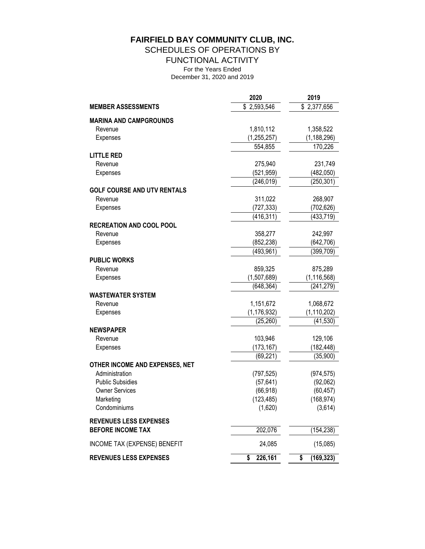**FAIRFIELD BAY COMMUNITY CLUB, INC.**

SCHEDULES OF OPERATIONS BY

FUNCTIONAL ACTIVITY

For the Years Ended

December 31, 2020 and 2019

|                                    | 2020                     | 2019                     |
|------------------------------------|--------------------------|--------------------------|
| <b>MEMBER ASSESSMENTS</b>          | $\overline{$}$ 2,593,546 | $\overline{$}$ 2,377,656 |
| <b>MARINA AND CAMPGROUNDS</b>      |                          |                          |
| Revenue                            | 1,810,112                | 1,358,522                |
| Expenses                           | (1, 255, 257)            | (1, 188, 296)            |
|                                    | 554,855                  | 170,226                  |
| <b>LITTLE RED</b>                  |                          |                          |
| Revenue                            | 275,940                  | 231,749                  |
| Expenses                           | (521, 959)               | (482,050)                |
|                                    | (246, 019)               | (250, 301)               |
| <b>GOLF COURSE AND UTV RENTALS</b> |                          |                          |
| Revenue                            | 311,022                  | 268,907                  |
| Expenses                           | (727, 333)               | (702, 626)               |
|                                    | (416, 311)               | (433, 719)               |
| <b>RECREATION AND COOL POOL</b>    |                          |                          |
| Revenue                            | 358,277                  | 242,997                  |
| Expenses                           | (852, 238)<br>(493, 961) | (642, 706)<br>(399, 709) |
| <b>PUBLIC WORKS</b>                |                          |                          |
| Revenue                            | 859,325                  | 875,289                  |
| Expenses                           | (1,507,689)              | (1, 116, 568)            |
|                                    | (648, 364)               | (241, 279)               |
| <b>WASTEWATER SYSTEM</b>           |                          |                          |
| Revenue                            | 1,151,672                | 1,068,672                |
| Expenses                           | (1, 176, 932)            | (1, 110, 202)            |
|                                    | (25, 260)                | (41, 530)                |
| <b>NEWSPAPER</b>                   |                          |                          |
| Revenue                            | 103,946                  | 129,106                  |
| Expenses                           | (173, 167)               | (182, 448)               |
|                                    | (69, 221)                | (35, 900)                |
| OTHER INCOME AND EXPENSES, NET     |                          |                          |
| Administration                     | (797, 525)               | (974, 575)               |
| <b>Public Subsidies</b>            | (57, 641)                | (92,062)                 |
| <b>Owner Services</b>              | (66, 918)                | (60, 457)                |
| Marketing                          | (123, 485)               | (168, 974)               |
| Condominiums                       | (1,620)                  | (3,614)                  |
| <b>REVENUES LESS EXPENSES</b>      |                          |                          |
| <b>BEFORE INCOME TAX</b>           | 202,076                  | (154, 238)               |
| INCOME TAX (EXPENSE) BENEFIT       | 24,085                   | (15,085)                 |
| <b>REVENUES LESS EXPENSES</b>      | 226,161<br>\$            | (169, 323)<br>\$         |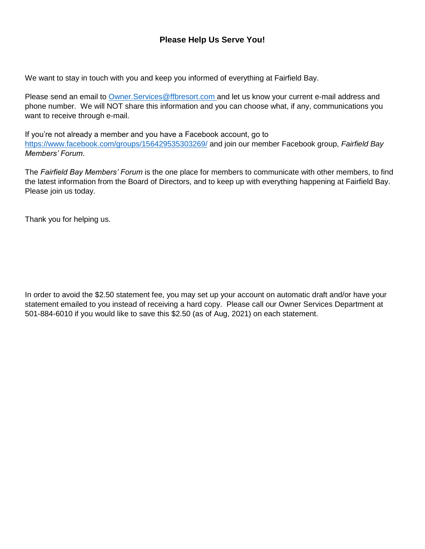## **Please Help Us Serve You!**

We want to stay in touch with you and keep you informed of everything at Fairfield Bay.

Please send an email to [Owner.Services@ffbresort.com a](file://///10.0.1.13/Shared/Accounting/ANNUAL%20REPORT/2020%202019/Owner.Services@ffbresort.com%20)nd let us know your current e-mail address and phone number. We will NOT share this information and you can choose what, if any, communications you want to receive through e-mail.

If you're not already a member and you have a Facebook account, go to <https://www.facebook.com/groups/156429535303269/> and join our member Facebook group, *Fairfield Bay Members' Forum*.

The *Fairfield Bay Members' Forum* is the one place for members to communicate with other members, to find the latest information from the Board of Directors, and to keep up with everything happening at Fairfield Bay. Please join us today.

Thank you for helping us.

In order to avoid the \$2.50 statement fee, you may set up your account on automatic draft and/or have your statement emailed to you instead of receiving a hard copy. Please call our Owner Services Department at 501-884-6010 if you would like to save this \$2.50 (as of Aug, 2021) on each statement.